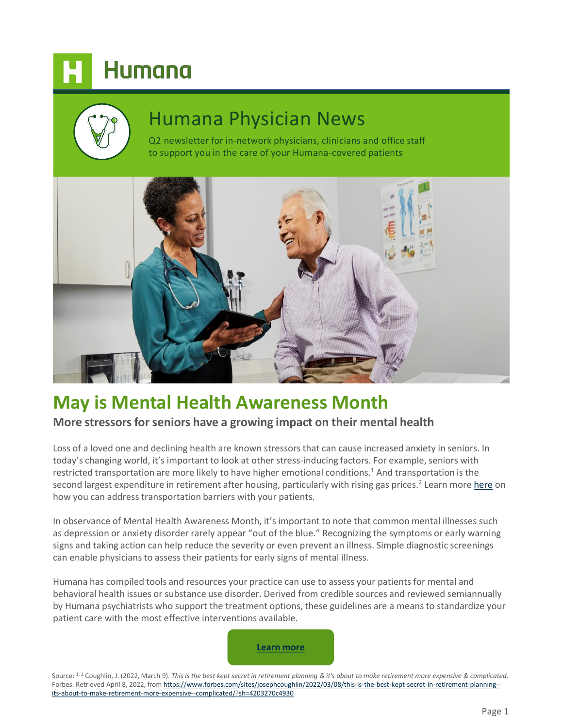# Humana

# Humana Physician News

Q2 newsletter for in-network physicians, clinicians and office staff to support you in the care of your Humana-covered patients



# **[May is Mental Health Awareness Month](https://lnkd.in/ebbpWEYS)**

### **More stressors for seniors have a growing impact on their mental health**

Loss of a loved one and declining health are known stressors that can cause increased anxiety in seniors. In today's changing world, it's important to look at other stress-inducing factors. For example, seniors with restricted transportation are more likely to have higher emotional conditions.<sup>1</sup> And transportation is the second largest expenditure in retirement after housing, particularly with rising gas prices.<sup>2</sup> Learn more [here](https://populationhealth.humana.com/resources/?tags[]=transportation) on how you can address transportation barriers with your patients.

In observance of Mental Health Awareness Month, it's important to note that common mental illnesses such as depression or anxiety disorder rarely appear "out of the blue." Recognizing the symptoms or early warning signs and taking action can help reduce the severity or even prevent an illness. Simple diagnostic screenings can enable physicians to assess their patients for early signs of mental illness.

Humana has compiled tools and resources your practice can use to assess your patients for mental and behavioral health issues or substance use disorder. Derived from credible sources and reviewed semiannually by Humana psychiatrists who support the treatment options, these guidelines are a means to standardize your patient care with the most effective interventions available.



Source: <sup>1, 2</sup> Coughlin, J. (2022, March 9). This is the best kept secret in retirement planning & it's about to make retirement more expensive & complicated. Forbes. Retrieved April 8, 2022, from https://www.forbes.com/sites/josephcoughlin/2022/03/08/this-is-the-best-kept-secret-in-retirement-planningits-about-to-make-retirement-more-expensive--complicated/?sh=4203270c4930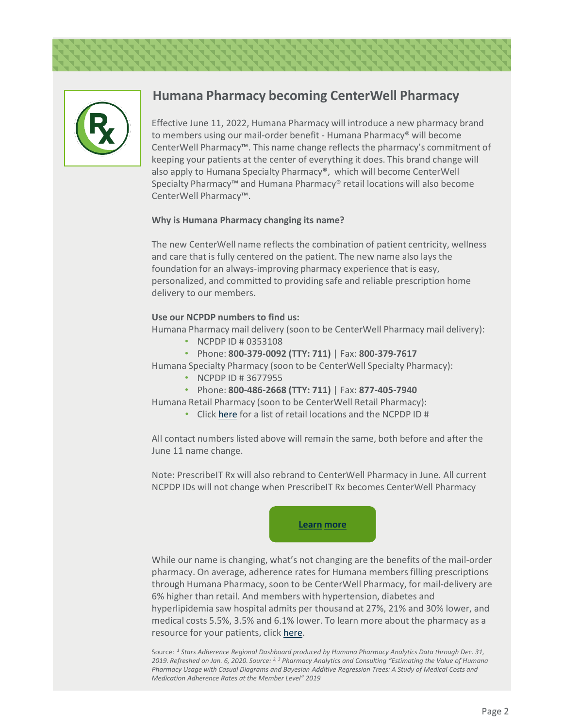

## **Humana Pharmacy becoming CenterWell Pharmacy**

Effective June 11, 2022, Humana Pharmacy will introduce a new pharmacy brand to members using our mail-order benefit - Humana Pharmacy® will become CenterWell Pharmacy™. This name change reflects the pharmacy's commitment of keeping your patients at the center of everything it does. This brand change will also apply to Humana Specialty Pharmacy®, which will become CenterWell Specialty Pharmacy™ and Humana Pharmacy® retail locations will also become CenterWell Pharmacy™.

### **Why is Humana Pharmacy changing its name?**

The new CenterWell name reflects the combination of patient centricity, wellness and care that is fully centered on the patient. The new name also lays the foundation for an always-improving pharmacy experience that is easy, personalized, and committed to providing safe and reliable prescription home delivery to our members.

### **Use our NCPDP numbers to find us:**

Humana Pharmacy mail delivery (soon to be CenterWell Pharmacy mail delivery):

- NCPDP ID # 0353108
- Phone: **800-379-0092 (TTY: 711)** | Fax: **800-379-7617**

Humana Specialty Pharmacy (soon to be CenterWell Specialty Pharmacy):

- NCPDP ID # 3677955
- Phone: **800-486-2668 (TTY: 711)** | Fax: **877-405-7940**

Humana Retail Pharmacy (soon to be CenterWell Retail Pharmacy):

• Click [here](https://www.humanapharmacy.com/find-a-location?cm_mmc=Email_Provider_Newsletter-_-Drop2_22-_-Q2_22_Newsletter-_-Pharamacy_Retail_Locations) for a list of retail locations and the NCPDP ID #

All contact numbers listed above will remain the same, both before and after the June 11 name change.

Note: PrescribeIT Rx will also rebrand to CenterWell Pharmacy in June. All current NCPDP IDs will not change when PrescribeIT Rx becomes CenterWell Pharmacy



While our name is changing, what's not changing are the benefits of the mail-order pharmacy. On average, adherence rates for Humana members filling prescriptions through Humana Pharmacy, soon to be CenterWell Pharmacy, for mail-delivery are 6% higher than retail. And members with hypertension, diabetes and hyperlipidemia saw hospital admits per thousand at 27%, 21% and 30% lower, and medical costs 5.5%, 3.5% and 6.1% lower. To learn more about the pharmacy as a resource for your patients, click [here](https://www.humanapharmacy.com/prescriber-information.html?cm_mmc=Email_Provider_Newsletter-_-Drop2_22-_-Q2_22_Newsletter-_-Prescriber_Information).

Source: *<sup>1</sup> Stars Adherence Regional Dashboard produced by Humana Pharmacy Analytics Data through Dec. 31, 2019. Refreshed on Jan. 6, 2020. Source: 2, 3 Pharmacy Analytics and Consulting "Estimating the Value of Humana Pharmacy Usage with Casual Diagrams and Bayesian Additive Regression Trees: A Study of Medical Costs and Medication Adherence Rates at the Member Level" 2019*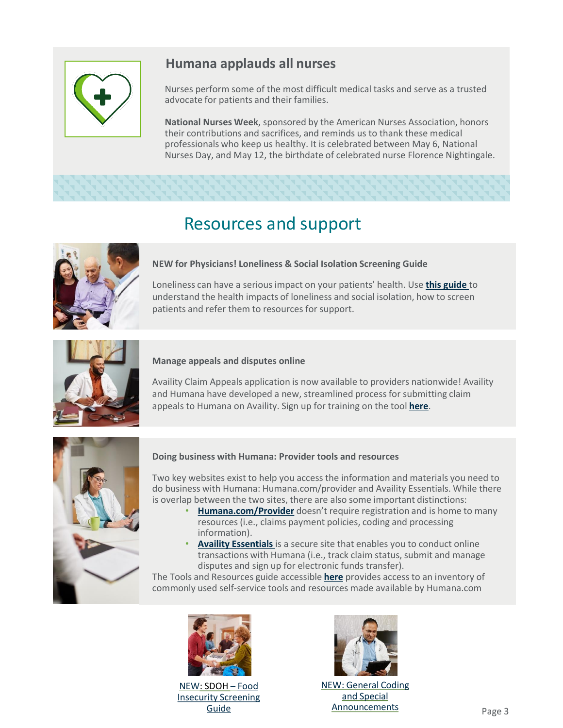

# **Humana applauds all nurses**

Nurses perform some of the most difficult medical tasks and serve as a trusted advocate for patients and their families.

**National Nurses Week**, sponsored by the American Nurses Association, honors their contributions and sacrifices, and reminds us to thank these medical professionals who keep us healthy. It is celebrated between May 6, National Nurses Day, and May 12, the birthdate of celebrated nurse Florence Nightingale.

# Resources and support



### **NEW for Physicians! Loneliness & Social Isolation Screening Guide**

Loneliness can have a serious impact on your patients' health. Use **[this guide](https://populationhealth.humana.com/resources/social-isolation-loneliness-one-page-physician-quick-guide/)** to understand the health impacts of loneliness and social isolation, how to screen patients and refer them to resources for support.



### **Manage appeals and disputes online**

Availity Claim Appeals application is now available to providers nationwide! Availity and Humana have developed a new, streamlined process for submitting claim appeals to Humana on Availity. Sign up for training on the tool **[here](https://www.humana.com/provider/medical-resources/self-service-portal/web-based-training?cm_mmc=Email_Provider_Newsletter-_-Drop2_22-_-Q2_22_Newsletter-_-Manage_appeals_and_disputes_online)**.



#### **Doing business with Humana: Provider tools and resources**

Two key websites exist to help you access the information and materials you need to do business with Humana: Humana.com/provider and Availity Essentials. While there is overlap between the two sites, there are also some important distinctions:

- **[Humana.com/Provider](https://www.humana.com/provider/?cm_mmc=Email_Provider_Newsletter-_-Drop2_22-_-Q2_22_Newsletter-_-Provider)** doesn't require registration and is home to many resources (i.e., claims payment policies, coding and processing information).
- **[Availity Essentials](https://www.availity.com/humana)** is a secure site that enables you to conduct online transactions with Humana (i.e., track claim status, submit and manage disputes and sign up for electronic funds transfer).

The Tools and Resources guide accessible **[here](http://apps.humana.com/marketing/documents.asp?file=4269642)** provides access to an inventory of commonly used self-service tools and resources made available by Humana.com



[NEW](https://www.humana.com/provider/news/publications?cm_mmc=Email_Provider_Newsletter-_-Drop1-_-Q1_22_Newsletter-_-New_Resource_Updated_provider_manual): SDOH [–](https://populationhealth.humana.com/resources/food-insecurity-physician-quick-guide/) Food [Insecurity Screening](https://populationhealth.humana.com/resources/food-insecurity-physician-quick-guide/)  Guide



[NE](hhttps://www.humana.com/provider/medical-resources/claims-payments/processing-edits/code-edit-announcements)[W: General Coding](https://www.humana.com/provider/medical-resources/claims-payments/processing-edits/code-edit-announcements?cm_mmc=Email_Provider_Newsletter-_-Drop2_22-_-Q2_22_Newsletter-_-General_Coding_and_Special_Announcments) and Special Announcements